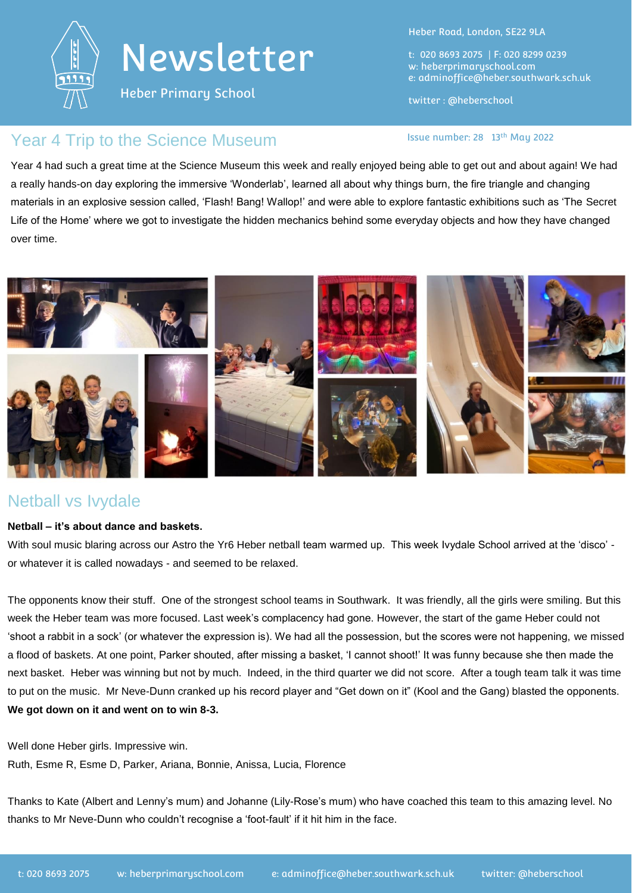

Heber Primary School

Heber Road, London, SE22 9LA

t: 020 8693 2075 | F: 020 8299 0239 w: heberprimaryschool.com e: [adminoffice@heber.southwark.sch.uk](mailto:adminoffice@heber.southwark.sch.uk)

twitter : @heberschool

#### Year 4 Trip to the Science Museum and the state of the Science Museum and the state number: 28 13th May 2022

Year 4 had such a great time at the Science Museum this week and really enjoyed being able to get out and about again! We had a really hands-on day exploring the immersive 'Wonderlab', learned all about why things burn, the fire triangle and changing materials in an explosive session called, 'Flash! Bang! Wallop!' and were able to explore fantastic exhibitions such as 'The Secret Life of the Home' where we got to investigate the hidden mechanics behind some everyday objects and how they have changed over time.



#### Netball vs Ivydale

#### **Netball – it's about dance and baskets.**

With soul music blaring across our Astro the Yr6 Heber netball team warmed up. This week Ivydale School arrived at the 'disco' or whatever it is called nowadays - and seemed to be relaxed.

The opponents know their stuff. One of the strongest school teams in Southwark. It was friendly, all the girls were smiling. But this week the Heber team was more focused. Last week's complacency had gone. However, the start of the game Heber could not 'shoot a rabbit in a sock' (or whatever the expression is). We had all the possession, but the scores were not happening, we missed a flood of baskets. At one point, Parker shouted, after missing a basket, 'I cannot shoot!' It was funny because she then made the next basket. Heber was winning but not by much. Indeed, in the third quarter we did not score. After a tough team talk it was time to put on the music. Mr Neve-Dunn cranked up his record player and "Get down on it" (Kool and the Gang) blasted the opponents. **We got down on it and went on to win 8-3.** 

Well done Heber girls. Impressive win. Ruth, Esme R, Esme D, Parker, Ariana, Bonnie, Anissa, Lucia, Florence

Thanks to Kate (Albert and Lenny's mum) and Johanne (Lily-Rose's mum) who have coached this team to this amazing level. No thanks to Mr Neve-Dunn who couldn't recognise a 'foot-fault' if it hit him in the face.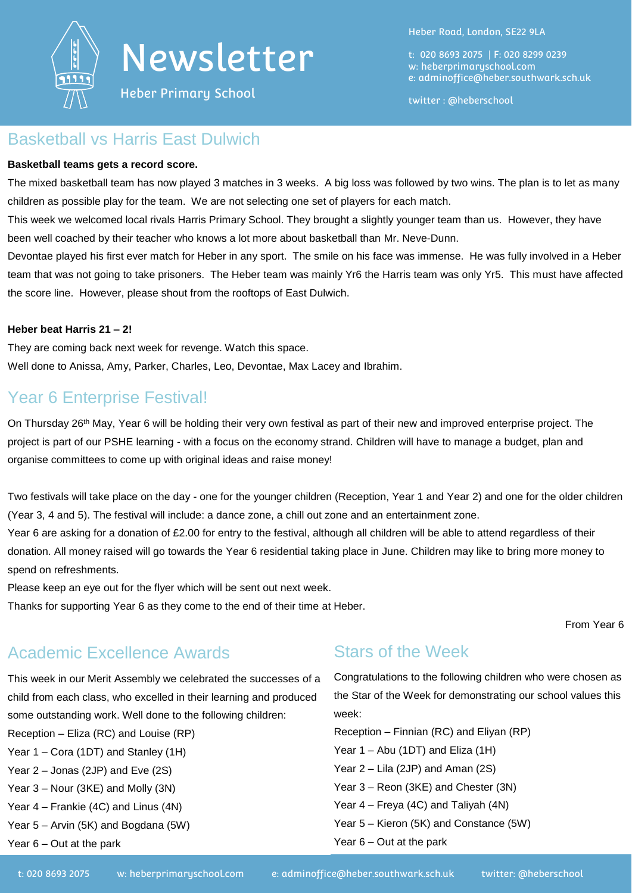

Heber Primary School

Heber Road, London, SE22 9LA

t: 020 8693 2075 | F: 020 8299 0239 w: heberprimaryschool.com e: [adminoffice@heber.southwark.sch.uk](mailto:adminoffice@heber.southwark.sch.uk)

twitter : @heberschool

#### Basketball vs Harris East Dulwich

#### **Basketball teams gets a record score.**

The mixed basketball team has now played 3 matches in 3 weeks. A big loss was followed by two wins. The plan is to let as many children as possible play for the team. We are not selecting one set of players for each match.

This week we welcomed local rivals Harris Primary School. They brought a slightly younger team than us. However, they have been well coached by their teacher who knows a lot more about basketball than Mr. Neve-Dunn.

Devontae played his first ever match for Heber in any sport. The smile on his face was immense. He was fully involved in a Heber team that was not going to take prisoners. The Heber team was mainly Yr6 the Harris team was only Yr5. This must have affected the score line. However, please shout from the rooftops of East Dulwich.

#### **Heber beat Harris 21 – 2!**

They are coming back next week for revenge. Watch this space. Well done to Anissa, Amy, Parker, Charles, Leo, Devontae, Max Lacey and Ibrahim.

#### Year 6 Enterprise Festival!

On Thursday 26<sup>th</sup> May, Year 6 will be holding their very own festival as part of their new and improved enterprise project. The project is part of our PSHE learning - with a focus on the economy strand. Children will have to manage a budget, plan and organise committees to come up with original ideas and raise money!

Two festivals will take place on the day - one for the younger children (Reception, Year 1 and Year 2) and one for the older children (Year 3, 4 and 5). The festival will include: a dance zone, a chill out zone and an entertainment zone.

Year 6 are asking for a donation of £2.00 for entry to the festival, although all children will be able to attend regardless of their donation. All money raised will go towards the Year 6 residential taking place in June. Children may like to bring more money to spend on refreshments.

Please keep an eye out for the flyer which will be sent out next week.

Thanks for supporting Year 6 as they come to the end of their time at Heber.

From Year 6

### Academic Excellence Awards

This week in our Merit Assembly we celebrated the successes of a child from each class, who excelled in their learning and produced some outstanding work. Well done to the following children:

Reception – Eliza (RC) and Louise (RP)

Year 1 – Cora (1DT) and Stanley (1H)

Year 2 – Jonas (2JP) and Eve (2S)

Year 3 – Nour (3KE) and Molly (3N)

Year 4 – Frankie (4C) and Linus (4N)

Year 5 – Arvin (5K) and Bogdana (5W)

Year 6 – Out at the park

#### Stars of the Week

Congratulations to the following children who were chosen as the Star of the Week for demonstrating our school values this week:

Reception – Finnian (RC) and Eliyan (RP) Year 1 – Abu (1DT) and Eliza (1H) Year 2 – Lila (2JP) and Aman (2S) Year 3 – Reon (3KE) and Chester (3N) Year 4 – Freya (4C) and Taliyah (4N) Year 5 – Kieron (5K) and Constance (5W) Year 6 – Out at the park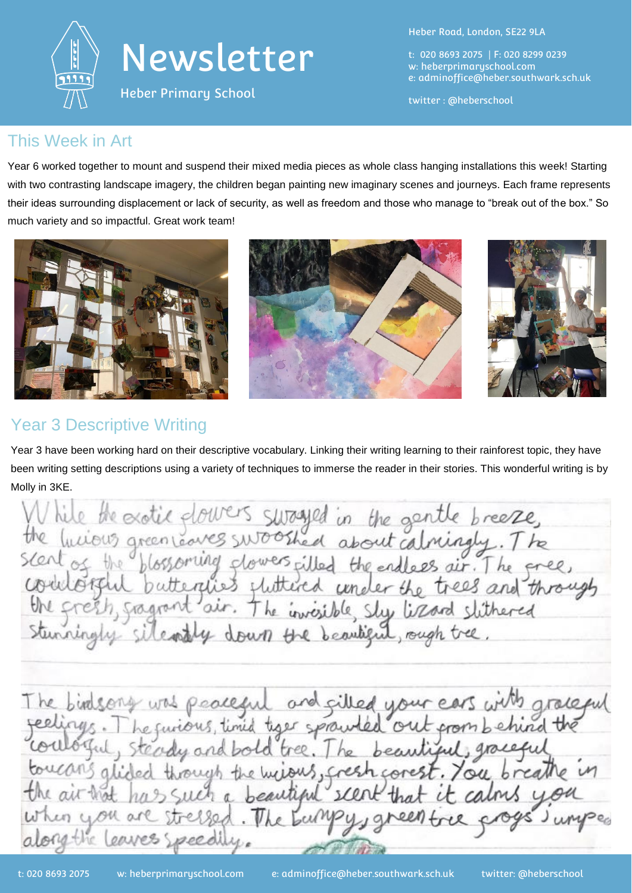



Heber Primary School

Heber Road, London, SE22 9LA

t: 020 8693 2075 | F: 020 8299 0239 w: heberprimaryschool.com e: [adminoffice@heber.southwark.sch.uk](mailto:adminoffice@heber.southwark.sch.uk)

twitter : @heberschool

#### This Week in Art

Year 6 worked together to mount and suspend their mixed media pieces as whole class hanging installations this week! Starting with two contrasting landscape imagery, the children began painting new imaginary scenes and journeys. Each frame represents their ideas surrounding displacement or lack of security, as well as freedom and those who manage to "break out of the box." So much variety and so impactful. Great work team!



### Year 3 Descriptive Writing

Year 3 have been working hard on their descriptive vocabulary. Linking their writing learning to their rainforest topic, they have been writing setting descriptions using a variety of techniques to immerse the reader in their stories. This wonderful writing is by Molly in 3KE.

While the exotic glowers suraged in the gentle breeze,<br>the lucious green covers swooshed about calmingly. The<br>sent of the blossoming glowers filled the endless air. The gree,<br>conditionsful butternies fluttered under the tr The birdsong was peaceful and silled your ears with grace<br>seelings. The furious, time type sprawled out gromb chind the<br>coulogul, steady and bold tree. The beautiful, graceful

Such a beautiful"

ersed.

peedi

air-that

you as

the leaver

scent

een tree

e bumpysg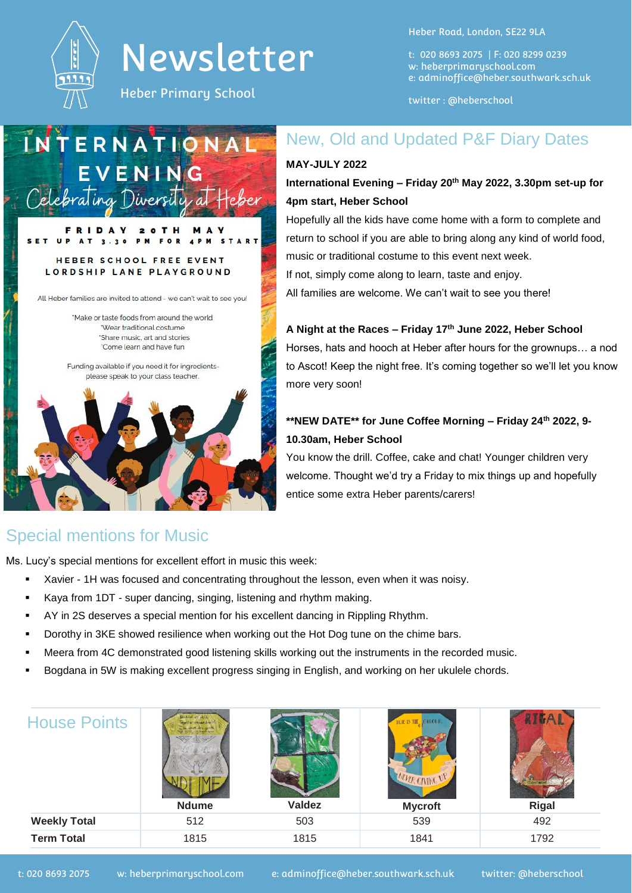

Heber Primary School

M

Heber Road, London, SE22 9LA

t: 020 8693 2075 | F: 020 8299 0239 w: heberprimaryschool.com e: [adminoffice@heber.southwark.sch.uk](mailto:adminoffice@heber.southwark.sch.uk)

twitter : @heberschool

New, Old and Updated P&F Diary Dates

**International Evening – Friday 20th May 2022, 3.30pm set-up for** 

Hopefully all the kids have come home with a form to complete and return to school if you are able to bring along any kind of world food,

music or traditional costume to this event next week. If not, simply come along to learn, taste and enjoy.

All families are welcome. We can't wait to see you there!

**A Night at the Races – Friday 17th June 2022, Heber School**

**\*\*NEW DATE\*\* for June Coffee Morning – Friday 24th 2022, 9-**

You know the drill. Coffee, cake and chat! Younger children very welcome. Thought we'd try a Friday to mix things up and hopefully

Horses, hats and hooch at Heber after hours for the grownups… a nod to Ascot! Keep the night free. It's coming together so we'll let you know

**MAY-JULY 2022**

more very soon!

**10.30am, Heber School**

entice some extra Heber parents/carers!

**4pm start, Heber School**

### INTERNATIONA EVENING Celebrating Diversity at

#### **FOR**  $\overline{4}$   $\overline{P}$ M HEBER SCHOOL FREE EVENT LORDSHIP LANE PLAYGROUND

 $\bullet$  $\bullet$ 

D<sub>A</sub>

All Heber families are invited to attend - we can't wait to see you!

'Make or taste foods from around the world "Wear traditional costume 'Share music, art and stories 'Come learn and have fun

Funding available if you need it for ingredientsplease speak to your class teacher.



### Special mentions for Music

Ms. Lucy's special mentions for excellent effort in music this week:

- Xavier 1H was focused and concentrating throughout the lesson, even when it was noisy.
- Kaya from 1DT super dancing, singing, listening and rhythm making.
- AY in 2S deserves a special mention for his excellent dancing in Rippling Rhythm.
- Dorothy in 3KE showed resilience when working out the Hot Dog tune on the chime bars.
- Meera from 4C demonstrated good listening skills working out the instruments in the recorded music.
- Bogdana in 5W is making excellent progress singing in English, and working on her ukulele chords.

| <b>House Points</b> | dad we are<br>ar wegan buy<br><b>Ndume</b> | <b>Valdez</b> | <b>COLOUE</b><br>BUIE IS THE<br>MULK GIVING UN<br><b>Mycroft</b> | <b>Rigal</b> |
|---------------------|--------------------------------------------|---------------|------------------------------------------------------------------|--------------|
| <b>Weekly Total</b> | 512                                        | 503           | 539                                                              | 492          |
| <b>Term Total</b>   | 1815                                       | 1815          | 1841                                                             | 1792         |